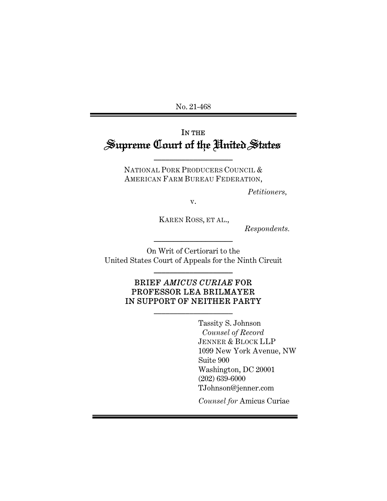No. 21-468

# IN THE Supreme Court of the United States

NATIONAL PORK PRODUCERS COUNCIL & AMERICAN FARM BUREAU FEDERATION,

\_\_\_\_\_\_\_\_\_\_\_\_\_\_\_\_\_\_\_\_

*Petitioners,* 

v.

KAREN ROSS, ET AL.,

*Respondents.*

On Writ of Certiorari to the United States Court of Appeals for the Ninth Circuit

\_\_\_\_\_\_\_\_\_\_\_\_\_\_\_\_\_\_\_\_

\_\_\_\_\_\_\_\_\_\_\_\_\_\_\_\_\_\_\_\_

# BRIEF *AMICUS CURIAE* FOR PROFESSOR LEA BRILMAYER IN SUPPORT OF NEITHER PARTY

\_\_\_\_\_\_\_\_\_\_\_\_\_\_\_\_\_\_\_\_

Tassity S. Johnson  *Counsel of Record* JENNER & BLOCK LLP 1099 New York Avenue, NW Suite 900 Washington, DC 20001 (202) 639-6000 TJohnson@jenner.com

*Counsel for* Amicus Curiae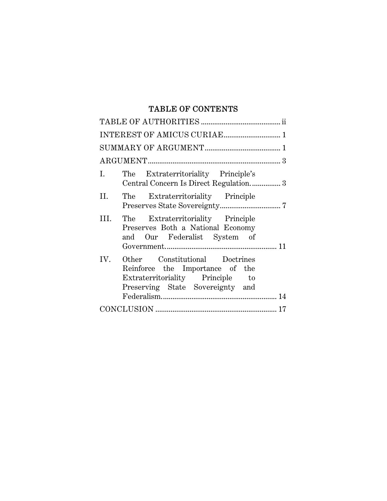# TABLE OF CONTENTS

| I.   | The Extraterritoriality Principle's<br>Central Concern Is Direct Regulation3                                                              |  |
|------|-------------------------------------------------------------------------------------------------------------------------------------------|--|
| II.  | The Extraterritoriality Principle                                                                                                         |  |
| III. | The Extraterritoriality Principle<br>Preserves Both a National Economy<br>and Our Federalist System of                                    |  |
| IV.  | Other Constitutional Doctrines<br>Reinforce the Importance of the<br>Extraterritoriality Principle to<br>Preserving State Sovereignty and |  |
|      |                                                                                                                                           |  |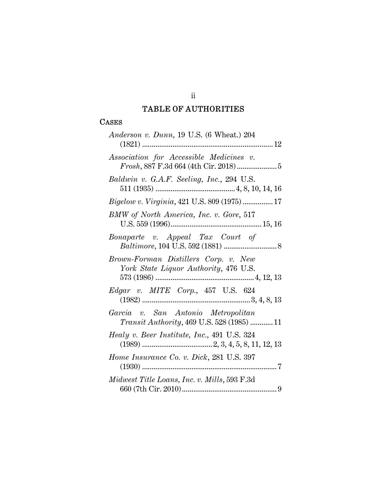# TABLE OF AUTHORITIES

## **CASES**

| Anderson v. Dunn, $19$ U.S. (6 Wheat.) $204$                                             |
|------------------------------------------------------------------------------------------|
| Association for Accessible Medicines v.                                                  |
| Baldwin v. G.A.F. Seeling, Inc., 294 U.S.                                                |
| Bigelow v. Virginia, 421 U.S. 809 (1975)  17                                             |
| BMW of North America, Inc. v. Gore, 517                                                  |
| Bonaparte v. Appeal Tax Court of                                                         |
| Brown-Forman Distillers Corp. v. New<br>York State Liquor Authority, 476 U.S.            |
| Edgar v. MITE Corp., 457 U.S. 624                                                        |
| Garcia v. San Antonio Metropolitan<br><i>Transit Authority</i> , 469 U.S. 528 (1985)  11 |
| Healy v. Beer Institute, Inc., 491 U.S. 324                                              |
| Home Insurance Co. v. Dick, 281 U.S. 397                                                 |
| Midwest Title Loans, Inc. v. Mills, 593 F.3d                                             |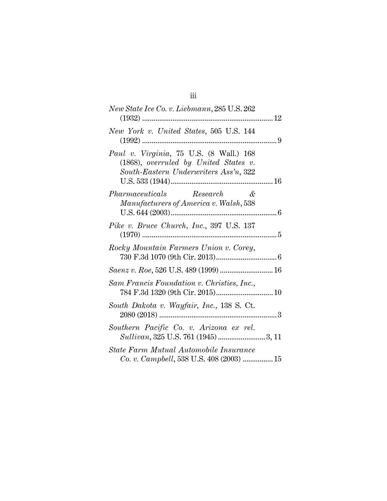| New State Ice Co. v. Liebmann, 285 U.S. 262                                                                                          |  |
|--------------------------------------------------------------------------------------------------------------------------------------|--|
| New York v. United States, 505 U.S. 144                                                                                              |  |
| <i>Paul v. Virginia</i> , 75 U.S. (8 Wall.) 168<br>$(1868)$ , overruled by United States v.<br>South-Eastern Underwriters Ass'n, 322 |  |
| <i>Pharmaceuticals</i> Research &<br>Manufacturers of America v. Walsh, 538                                                          |  |
| Pike v. Bruce Church, Inc., 397 U.S. 137                                                                                             |  |
| Rocky Mountain Farmers Union v. Corey,                                                                                               |  |
| Saenz v. Roe, 526 U.S. 489 (1999)  16                                                                                                |  |
| Sam Francis Foundation v. Christies, Inc.,                                                                                           |  |
| South Dakota v. Wayfair, Inc., 138 S. Ct.                                                                                            |  |
| Southern Pacific Co. v. Arizona ex rel.                                                                                              |  |
| State Farm Mutual Automobile Insurance<br>Co. v. Campbell, 538 U.S. 408 (2003)  15                                                   |  |

iii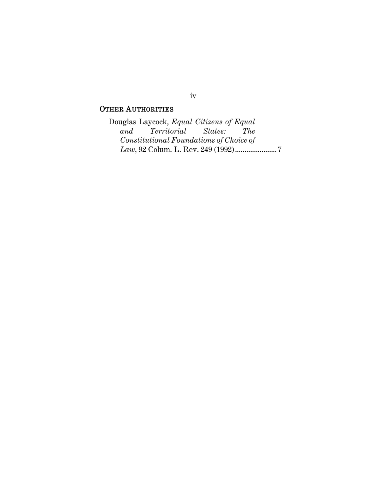# OTHER AUTHORITIES

Douglas Laycock, *Equal Citizens of Equal and Territorial Constitutional Foundations of Choice of Law*, 92 Colum. L. Rev. 249 (1992) ...................... 7

# iv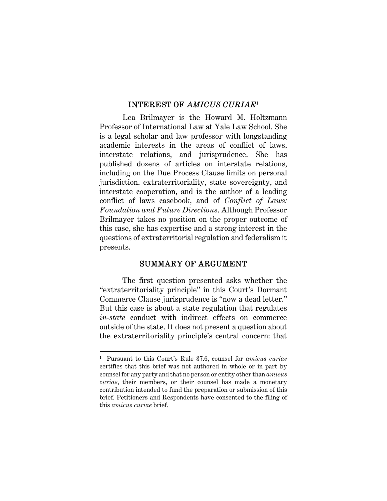## INTEREST OF *AMICUS CURIAE*<sup>1</sup>

Lea Brilmayer is the Howard M. Holtzmann Professor of International Law at Yale Law School. She is a legal scholar and law professor with longstanding academic interests in the areas of conflict of laws, interstate relations, and jurisprudence. She has published dozens of articles on interstate relations, including on the Due Process Clause limits on personal jurisdiction, extraterritoriality, state sovereignty, and interstate cooperation, and is the author of a leading conflict of laws casebook, and of *Conflict of Laws: Foundation and Future Directions*. Although Professor Brilmayer takes no position on the proper outcome of this case, she has expertise and a strong interest in the questions of extraterritorial regulation and federalism it presents.

### SUMMARY OF ARGUMENT

The first question presented asks whether the "extraterritoriality principle" in this Court's Dormant Commerce Clause jurisprudence is "now a dead letter." But this case is about a state regulation that regulates *in*-*state* conduct with indirect effects on commerce outside of the state. It does not present a question about the extraterritoriality principle's central concern: that

<sup>1</sup> Pursuant to this Court's Rule 37.6, counsel for *amicus curiae*  certifies that this brief was not authored in whole or in part by counsel for any party and that no person or entity other than *amicus curiae*, their members, or their counsel has made a monetary contribution intended to fund the preparation or submission of this brief. Petitioners and Respondents have consented to the filing of this *amicus curiae* brief.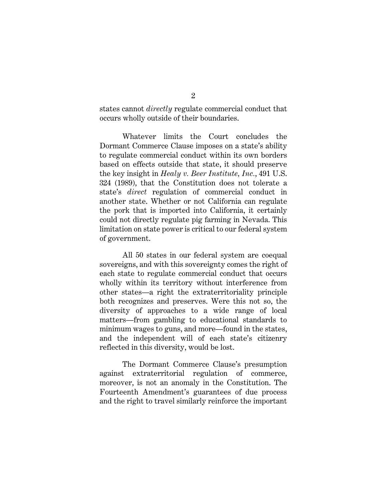states cannot *directly* regulate commercial conduct that occurs wholly outside of their boundaries.

Whatever limits the Court concludes the Dormant Commerce Clause imposes on a state's ability to regulate commercial conduct within its own borders based on effects outside that state, it should preserve the key insight in *Healy v. Beer Institute, Inc.*, 491 U.S. 324 (1989), that the Constitution does not tolerate a state's *direct* regulation of commercial conduct in another state. Whether or not California can regulate the pork that is imported into California, it certainly could not directly regulate pig farming in Nevada. This limitation on state power is critical to our federal system of government.

All 50 states in our federal system are coequal sovereigns, and with this sovereignty comes the right of each state to regulate commercial conduct that occurs wholly within its territory without interference from other states—a right the extraterritoriality principle both recognizes and preserves. Were this not so, the diversity of approaches to a wide range of local matters—from gambling to educational standards to minimum wages to guns, and more—found in the states, and the independent will of each state's citizenry reflected in this diversity, would be lost.

The Dormant Commerce Clause's presumption against extraterritorial regulation of commerce, moreover, is not an anomaly in the Constitution. The Fourteenth Amendment's guarantees of due process and the right to travel similarly reinforce the important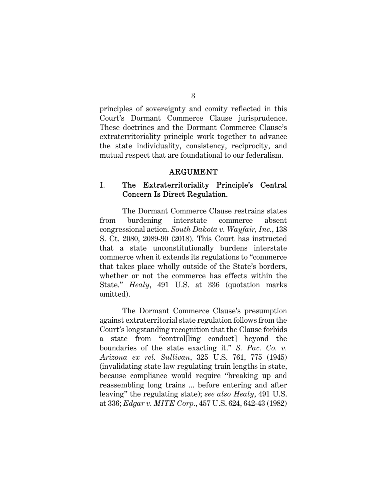principles of sovereignty and comity reflected in this Court's Dormant Commerce Clause jurisprudence. These doctrines and the Dormant Commerce Clause's extraterritoriality principle work together to advance the state individuality, consistency, reciprocity, and mutual respect that are foundational to our federalism.

#### ARGUMENT

# I. The Extraterritoriality Principle's Central Concern Is Direct Regulation.

The Dormant Commerce Clause restrains states from burdening interstate commerce absent congressional action. *South Dakota v. Wayfair, Inc.*, 138 S. Ct. 2080, 2089-90 (2018). This Court has instructed that a state unconstitutionally burdens interstate commerce when it extends its regulations to "commerce that takes place wholly outside of the State's borders, whether or not the commerce has effects within the State." *Healy*, 491 U.S. at 336 (quotation marks omitted).

The Dormant Commerce Clause's presumption against extraterritorial state regulation follows from the Court's longstanding recognition that the Clause forbids a state from "control[ling conduct] beyond the boundaries of the state exacting it." *S. Pac. Co. v. Arizona ex rel. Sullivan*, 325 U.S. 761, 775 (1945) (invalidating state law regulating train lengths in state, because compliance would require "breaking up and reassembling long trains ... before entering and after leaving" the regulating state); *see also Healy*, 491 U.S. at 336; *Edgar v. MITE Corp.*, 457 U.S. 624, 642-43 (1982)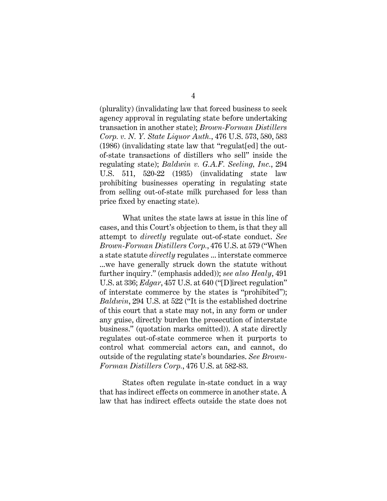(plurality) (invalidating law that forced business to seek agency approval in regulating state before undertaking transaction in another state); *Brown-Forman Distillers Corp. v. N. Y. State Liquor Auth.*, 476 U.S. 573, 580, 583 (1986) (invalidating state law that "regulat[ed] the outof-state transactions of distillers who sell" inside the regulating state); *Baldwin v. G.A.F. Seeling, Inc.*, 294 U.S. 511, 520-22 (1935) (invalidating state law prohibiting businesses operating in regulating state from selling out-of-state milk purchased for less than price fixed by enacting state).

What unites the state laws at issue in this line of cases, and this Court's objection to them, is that they all attempt to *directly* regulate out-of-state conduct. *See Brown-Forman Distillers Corp.*, 476 U.S. at 579 ("When a state statute *directly* regulates ... interstate commerce ...we have generally struck down the statute without further inquiry." (emphasis added)); *see also Healy*, 491 U.S. at 336; *Edgar*, 457 U.S. at 640 ("[D]irect regulation" of interstate commerce by the states is "prohibited"); *Baldwin*, 294 U.S. at 522 ("It is the established doctrine of this court that a state may not, in any form or under any guise, directly burden the prosecution of interstate business." (quotation marks omitted)). A state directly regulates out-of-state commerce when it purports to control what commercial actors can, and cannot, do outside of the regulating state's boundaries. *See Brown-Forman Distillers Corp.*, 476 U.S. at 582-83.

States often regulate in-state conduct in a way that has indirect effects on commerce in another state. A law that has indirect effects outside the state does not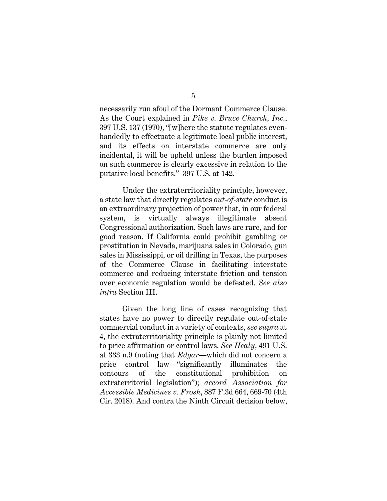necessarily run afoul of the Dormant Commerce Clause. As the Court explained in *Pike v. Bruce Church, Inc.*, 397 U.S. 137 (1970), "[w]here the statute regulates evenhandedly to effectuate a legitimate local public interest, and its effects on interstate commerce are only incidental, it will be upheld unless the burden imposed on such commerce is clearly excessive in relation to the putative local benefits." 397 U.S. at 142.

Under the extraterritoriality principle, however, a state law that directly regulates *out-of-state* conduct is an extraordinary projection of power that, in our federal system, is virtually always illegitimate absent Congressional authorization. Such laws are rare, and for good reason. If California could prohibit gambling or prostitution in Nevada, marijuana sales in Colorado, gun sales in Mississippi, or oil drilling in Texas, the purposes of the Commerce Clause in facilitating interstate commerce and reducing interstate friction and tension over economic regulation would be defeated. *See also infra* Section III.

Given the long line of cases recognizing that states have no power to directly regulate out-of-state commercial conduct in a variety of contexts, *see supra* at 4, the extraterritoriality principle is plainly not limited to price affirmation or control laws. *See Healy*, 491 U.S. at 333 n.9 (noting that *Edgar*—which did not concern a price control law—"significantly illuminates the contours of the constitutional prohibition on extraterritorial legislation"); *accord Association for Accessible Medicines v. Frosh*, 887 F.3d 664, 669-70 (4th Cir. 2018). And contra the Ninth Circuit decision below,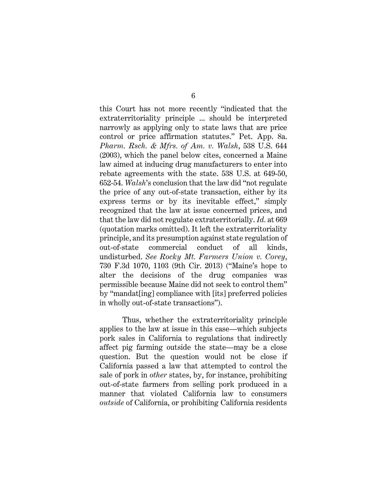this Court has not more recently "indicated that the extraterritoriality principle ... should be interpreted narrowly as applying only to state laws that are price control or price affirmation statutes." Pet. App. 8a. *Pharm. Rsch. & Mfrs. of Am. v. Walsh*, 538 U.S. 644 (2003), which the panel below cites, concerned a Maine law aimed at inducing drug manufacturers to enter into rebate agreements with the state. 538 U.S. at 649-50, 652-54. *Walsh*'s conclusion that the law did "not regulate the price of any out-of-state transaction, either by its express terms or by its inevitable effect," simply recognized that the law at issue concerned prices, and that the law did not regulate extraterritorially. *Id.* at 669 (quotation marks omitted). It left the extraterritoriality principle, and its presumption against state regulation of out-of-state commercial conduct of all kinds, undisturbed. *See Rocky Mt. Farmers Union v. Corey*, 730 F.3d 1070, 1103 (9th Cir. 2013) ("Maine's hope to alter the decisions of the drug companies was permissible because Maine did not seek to control them" by "mandat[ing] compliance with [its] preferred policies in wholly out-of-state transactions").

Thus, whether the extraterritoriality principle applies to the law at issue in this case—which subjects pork sales in California to regulations that indirectly affect pig farming outside the state—may be a close question. But the question would not be close if California passed a law that attempted to control the sale of pork in *other* states, by, for instance, prohibiting out-of-state farmers from selling pork produced in a manner that violated California law to consumers *outside* of California, or prohibiting California residents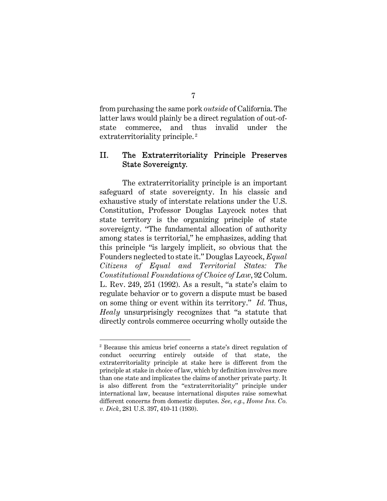from purchasing the same pork *outside* of California. The latter laws would plainly be a direct regulation of out-ofstate commerce, and thus invalid under the extraterritoriality principle.<sup>2</sup>

# II. The Extraterritoriality Principle Preserves State Sovereignty.

The extraterritoriality principle is an important safeguard of state sovereignty. In his classic and exhaustive study of interstate relations under the U.S. Constitution, Professor Douglas Laycock notes that state territory is the organizing principle of state sovereignty. "The fundamental allocation of authority among states is territorial," he emphasizes, adding that this principle "is largely implicit, so obvious that the Founders neglected to state it." Douglas Laycock, *Equal Citizens of Equal and Territorial States: The Constitutional Foundations of Choice of Law*, 92 Colum. L. Rev. 249, 251 (1992). As a result, "a state's claim to regulate behavior or to govern a dispute must be based on some thing or event within its territory." *Id.* Thus, *Healy* unsurprisingly recognizes that "a statute that directly controls commerce occurring wholly outside the

<sup>2</sup> Because this amicus brief concerns a state's direct regulation of conduct occurring entirely outside of that state, the extraterritoriality principle at stake here is different from the principle at stake in choice of law, which by definition involves more than one state and implicates the claims of another private party. It is also different from the "extraterritoriality" principle under international law, because international disputes raise somewhat different concerns from domestic disputes. *See, e.g.*, *Home Ins. Co. v. Dick*, 281 U.S. 397, 410-11 (1930).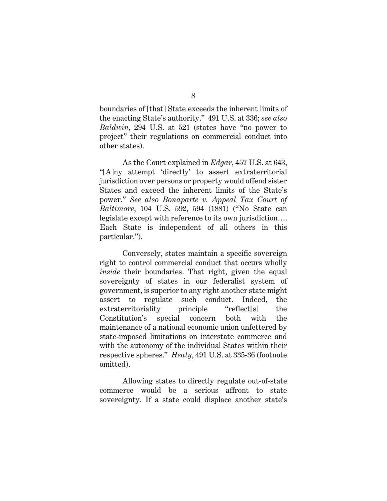boundaries of [that] State exceeds the inherent limits of the enacting State's authority." 491 U.S. at 336; *see also Baldwin*, 294 U.S. at 521 (states have "no power to project" their regulations on commercial conduct into other states).

As the Court explained in *Edgar*, 457 U.S. at 643, "[A]ny attempt 'directly' to assert extraterritorial jurisdiction over persons or property would offend sister States and exceed the inherent limits of the State's power." *See also Bonaparte v. Appeal Tax Court of Baltimore*, 104 U.S. 592, 594 (1881) ("No State can legislate except with reference to its own jurisdiction…. Each State is independent of all others in this particular.").

Conversely, states maintain a specific sovereign right to control commercial conduct that occurs wholly *inside* their boundaries. That right, given the equal sovereignty of states in our federalist system of government, is superior to any right another state might assert to regulate such conduct. Indeed, the extraterritoriality principle "reflect[s] the Constitution's special concern both with the maintenance of a national economic union unfettered by state-imposed limitations on interstate commerce and with the autonomy of the individual States within their respective spheres." *Healy*, 491 U.S. at 335-36 (footnote omitted).

Allowing states to directly regulate out-of-state commerce would be a serious affront to state sovereignty. If a state could displace another state's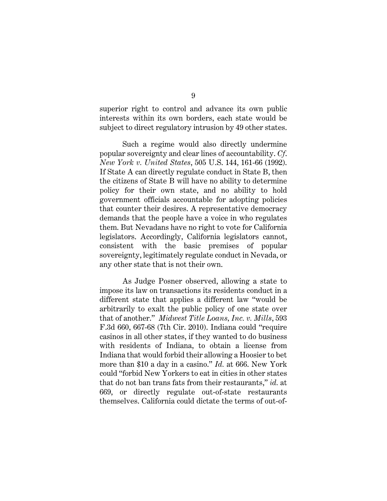superior right to control and advance its own public interests within its own borders, each state would be subject to direct regulatory intrusion by 49 other states.

Such a regime would also directly undermine popular sovereignty and clear lines of accountability. *Cf*. *New York v. United States*, 505 U.S. 144, 161-66 (1992). If State A can directly regulate conduct in State B, then the citizens of State B will have no ability to determine policy for their own state, and no ability to hold government officials accountable for adopting policies that counter their desires. A representative democracy demands that the people have a voice in who regulates them. But Nevadans have no right to vote for California legislators. Accordingly, California legislators cannot, consistent with the basic premises of popular sovereignty, legitimately regulate conduct in Nevada, or any other state that is not their own.

As Judge Posner observed, allowing a state to impose its law on transactions its residents conduct in a different state that applies a different law "would be arbitrarily to exalt the public policy of one state over that of another." *Midwest Title Loans, Inc. v. Mills*, 593 F.3d 660, 667-68 (7th Cir. 2010). Indiana could "require casinos in all other states, if they wanted to do business with residents of Indiana, to obtain a license from Indiana that would forbid their allowing a Hoosier to bet more than \$10 a day in a casino." *Id.* at 666. New York could "forbid New Yorkers to eat in cities in other states that do not ban trans fats from their restaurants," *id.* at 669, or directly regulate out-of-state restaurants themselves. California could dictate the terms of out-of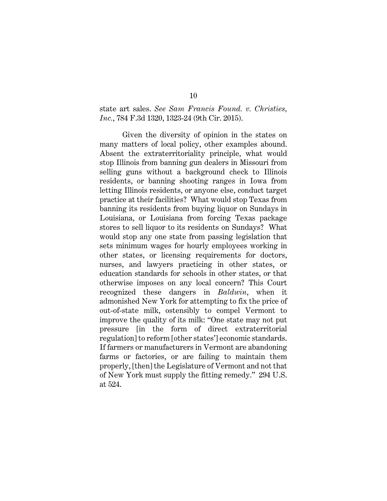state art sales. *See Sam Francis Found. v. Christies, Inc.*, 784 F.3d 1320, 1323-24 (9th Cir. 2015).

Given the diversity of opinion in the states on many matters of local policy, other examples abound. Absent the extraterritoriality principle, what would stop Illinois from banning gun dealers in Missouri from selling guns without a background check to Illinois residents, or banning shooting ranges in Iowa from letting Illinois residents, or anyone else, conduct target practice at their facilities? What would stop Texas from banning its residents from buying liquor on Sundays in Louisiana, or Louisiana from forcing Texas package stores to sell liquor to its residents on Sundays? What would stop any one state from passing legislation that sets minimum wages for hourly employees working in other states, or licensing requirements for doctors, nurses, and lawyers practicing in other states, or education standards for schools in other states, or that otherwise imposes on any local concern? This Court recognized these dangers in *Baldwin*, when it admonished New York for attempting to fix the price of out-of-state milk, ostensibly to compel Vermont to improve the quality of its milk: "One state may not put pressure [in the form of direct extraterritorial regulation] to reform [other states'] economic standards. If farmers or manufacturers in Vermont are abandoning farms or factories, or are failing to maintain them properly, [then] the Legislature of Vermont and not that of New York must supply the fitting remedy." 294 U.S. at 524.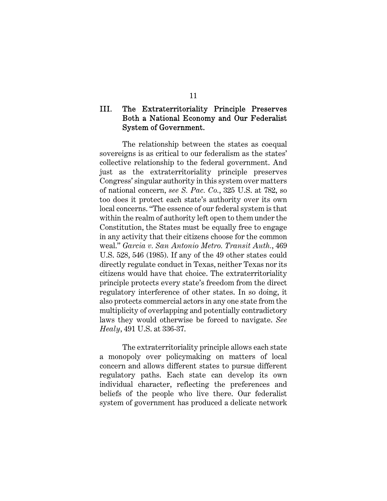# III. The Extraterritoriality Principle Preserves Both a National Economy and Our Federalist System of Government.

The relationship between the states as coequal sovereigns is as critical to our federalism as the states' collective relationship to the federal government. And just as the extraterritoriality principle preserves Congress' singular authority in this system over matters of national concern, *see S. Pac. Co.*, 325 U.S. at 782, so too does it protect each state's authority over its own local concerns. "The essence of our federal system is that within the realm of authority left open to them under the Constitution, the States must be equally free to engage in any activity that their citizens choose for the common weal." *Garcia v. San Antonio Metro. Transit Auth.*, 469 U.S. 528, 546 (1985). If any of the 49 other states could directly regulate conduct in Texas, neither Texas nor its citizens would have that choice. The extraterritoriality principle protects every state's freedom from the direct regulatory interference of other states. In so doing, it also protects commercial actors in any one state from the multiplicity of overlapping and potentially contradictory laws they would otherwise be forced to navigate. *See Healy*, 491 U.S. at 336-37.

The extraterritoriality principle allows each state a monopoly over policymaking on matters of local concern and allows different states to pursue different regulatory paths. Each state can develop its own individual character, reflecting the preferences and beliefs of the people who live there. Our federalist system of government has produced a delicate network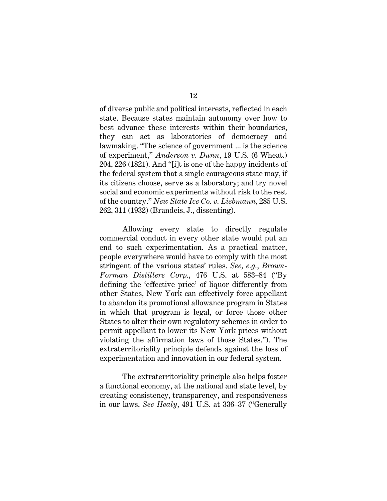of diverse public and political interests, reflected in each state. Because states maintain autonomy over how to best advance these interests within their boundaries, they can act as laboratories of democracy and lawmaking. "The science of government ... is the science of experiment," *Anderson v. Dunn*, 19 U.S. (6 Wheat.) 204, 226 (1821). And "[i]t is one of the happy incidents of the federal system that a single courageous state may, if its citizens choose, serve as a laboratory; and try novel social and economic experiments without risk to the rest of the country." *New State Ice Co. v. Liebmann*, 285 U.S. 262, 311 (1932) (Brandeis, J., dissenting).

Allowing every state to directly regulate commercial conduct in every other state would put an end to such experimentation. As a practical matter, people everywhere would have to comply with the most stringent of the various states' rules. *See, e.g.*, *Brown-Forman Distillers Corp.*, 476 U.S. at 583–84 ("By defining the 'effective price' of liquor differently from other States, New York can effectively force appellant to abandon its promotional allowance program in States in which that program is legal, or force those other States to alter their own regulatory schemes in order to permit appellant to lower its New York prices without violating the affirmation laws of those States."). The extraterritoriality principle defends against the loss of experimentation and innovation in our federal system.

The extraterritoriality principle also helps foster a functional economy, at the national and state level, by creating consistency, transparency, and responsiveness in our laws. *See Healy*, 491 U.S. at 336–37 ("Generally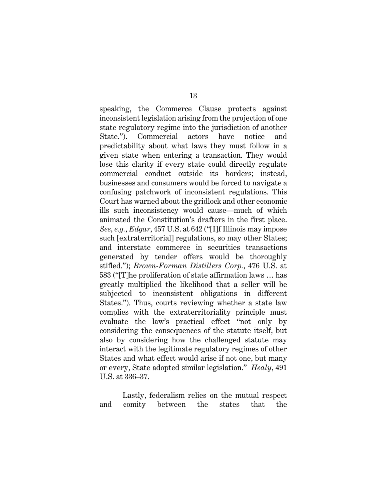speaking, the Commerce Clause protects against inconsistent legislation arising from the projection of one state regulatory regime into the jurisdiction of another State."). Commercial actors have notice and predictability about what laws they must follow in a given state when entering a transaction. They would lose this clarity if every state could directly regulate commercial conduct outside its borders; instead, businesses and consumers would be forced to navigate a confusing patchwork of inconsistent regulations. This Court has warned about the gridlock and other economic ills such inconsistency would cause—much of which animated the Constitution's drafters in the first place. *See, e.g.*, *Edgar*, 457 U.S. at 642 ("[I]f Illinois may impose such [extraterritorial] regulations, so may other States; and interstate commerce in securities transactions generated by tender offers would be thoroughly stifled."); *Brown-Forman Distillers Corp.*, 476 U.S. at 583 ("[T]he proliferation of state affirmation laws … has greatly multiplied the likelihood that a seller will be subjected to inconsistent obligations in different States."). Thus, courts reviewing whether a state law complies with the extraterritoriality principle must evaluate the law's practical effect "not only by considering the consequences of the statute itself, but also by considering how the challenged statute may interact with the legitimate regulatory regimes of other States and what effect would arise if not one, but many or every, State adopted similar legislation." *Healy*, 491 U.S. at 336–37.

Lastly, federalism relies on the mutual respect and comity between the states that the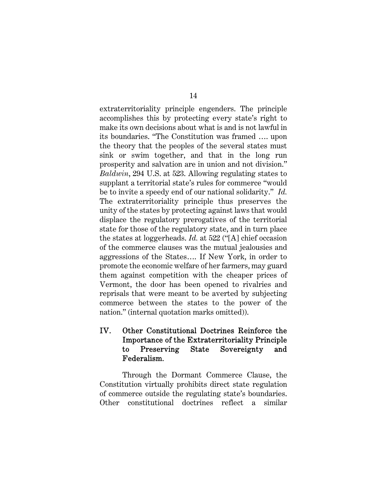extraterritoriality principle engenders. The principle accomplishes this by protecting every state's right to make its own decisions about what is and is not lawful in its boundaries. "The Constitution was framed …. upon the theory that the peoples of the several states must sink or swim together, and that in the long run prosperity and salvation are in union and not division." *Baldwin*, 294 U.S. at 523. Allowing regulating states to supplant a territorial state's rules for commerce "would be to invite a speedy end of our national solidarity." *Id.*  The extraterritoriality principle thus preserves the unity of the states by protecting against laws that would displace the regulatory prerogatives of the territorial state for those of the regulatory state, and in turn place the states at loggerheads. *Id.* at 522 ("[A] chief occasion of the commerce clauses was the mutual jealousies and aggressions of the States…. If New York, in order to promote the economic welfare of her farmers, may guard them against competition with the cheaper prices of Vermont, the door has been opened to rivalries and reprisals that were meant to be averted by subjecting commerce between the states to the power of the nation." (internal quotation marks omitted)).

# IV. Other Constitutional Doctrines Reinforce the Importance of the Extraterritoriality Principle to Preserving State Sovereignty and Federalism.

Through the Dormant Commerce Clause, the Constitution virtually prohibits direct state regulation of commerce outside the regulating state's boundaries. Other constitutional doctrines reflect a similar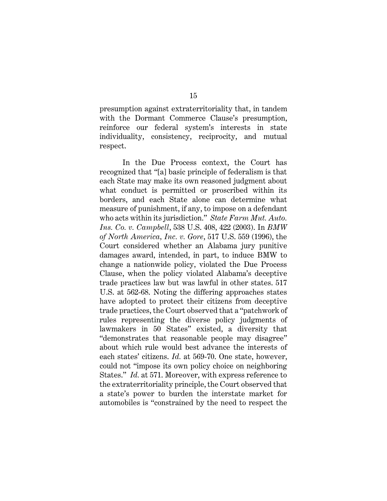presumption against extraterritoriality that, in tandem with the Dormant Commerce Clause's presumption, reinforce our federal system's interests in state individuality, consistency, reciprocity, and mutual respect.

In the Due Process context, the Court has recognized that "[a] basic principle of federalism is that each State may make its own reasoned judgment about what conduct is permitted or proscribed within its borders, and each State alone can determine what measure of punishment, if any, to impose on a defendant who acts within its jurisdiction." *State Farm Mut. Auto. Ins. Co. v. Campbell*, 538 U.S. 408, 422 (2003). In *BMW of North America, Inc. v. Gore*, 517 U.S. 559 (1996), the Court considered whether an Alabama jury punitive damages award, intended, in part, to induce BMW to change a nationwide policy, violated the Due Process Clause, when the policy violated Alabama's deceptive trade practices law but was lawful in other states. 517 U.S. at 562-68. Noting the differing approaches states have adopted to protect their citizens from deceptive trade practices, the Court observed that a "patchwork of rules representing the diverse policy judgments of lawmakers in 50 States" existed, a diversity that "demonstrates that reasonable people may disagree" about which rule would best advance the interests of each states' citizens. *Id.* at 569-70. One state, however, could not "impose its own policy choice on neighboring States." *Id.* at 571. Moreover, with express reference to the extraterritoriality principle, the Court observed that a state's power to burden the interstate market for automobiles is "constrained by the need to respect the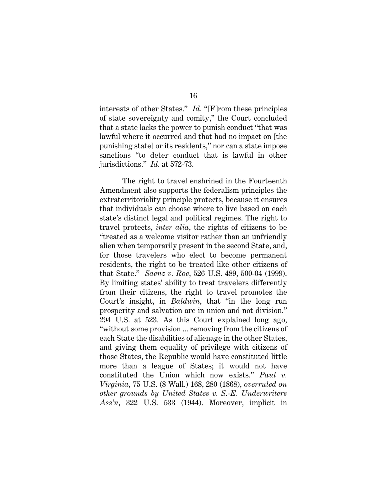interests of other States." *Id.* "[F]rom these principles of state sovereignty and comity," the Court concluded that a state lacks the power to punish conduct "that was lawful where it occurred and that had no impact on [the punishing state] or its residents," nor can a state impose sanctions "to deter conduct that is lawful in other jurisdictions." *Id.* at 572-73.

The right to travel enshrined in the Fourteenth Amendment also supports the federalism principles the extraterritoriality principle protects, because it ensures that individuals can choose where to live based on each state's distinct legal and political regimes. The right to travel protects, *inter alia*, the rights of citizens to be "treated as a welcome visitor rather than an unfriendly alien when temporarily present in the second State, and, for those travelers who elect to become permanent residents, the right to be treated like other citizens of that State." *Saenz v. Roe*, 526 U.S. 489, 500-04 (1999). By limiting states' ability to treat travelers differently from their citizens, the right to travel promotes the Court's insight, in *Baldwin*, that "in the long run prosperity and salvation are in union and not division." 294 U.S. at 523*.* As this Court explained long ago, "without some provision ... removing from the citizens of each State the disabilities of alienage in the other States, and giving them equality of privilege with citizens of those States, the Republic would have constituted little more than a league of States; it would not have constituted the Union which now exists." *Paul v. Virginia*, 75 U.S. (8 Wall.) 168, 280 (1868), *overruled on other grounds by United States v. S.-E. Underwriters Ass'n*, 322 U.S. 533 (1944). Moreover, implicit in